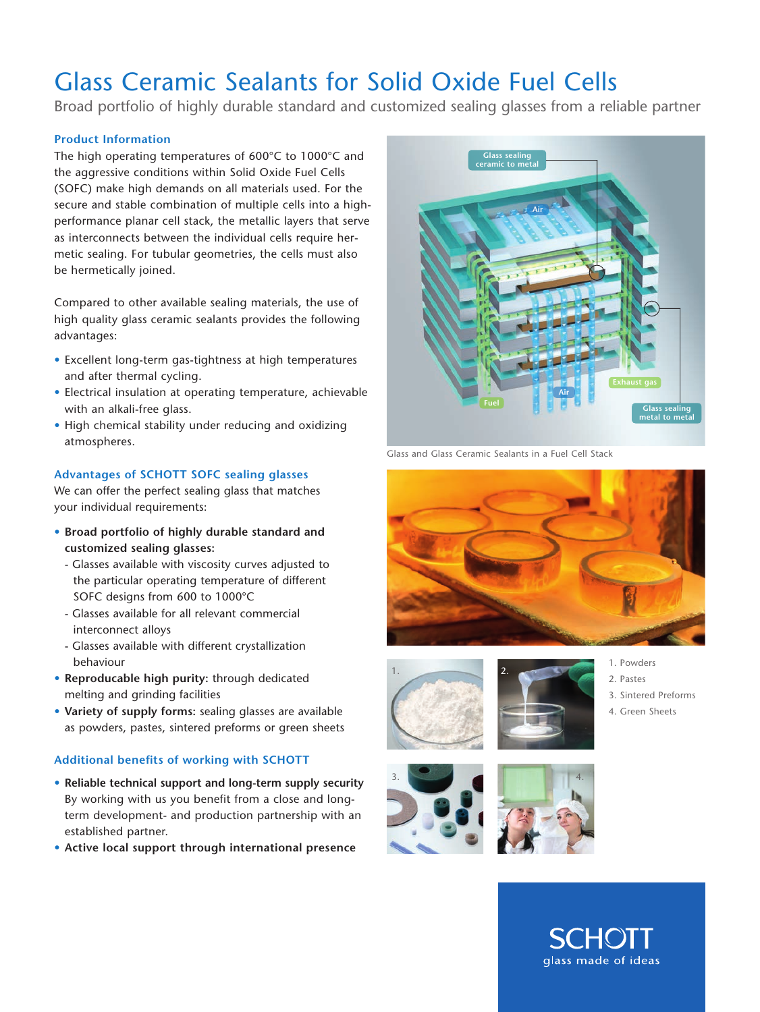## Glass Ceramic Sealants for Solid Oxide Fuel Cells

Broad portfolio of highly durable standard and customized sealing glasses from a reliable partner

#### **Product Information**

The high operating temperatures of 600°C to 1000°C and the aggressive conditions within Solid Oxide Fuel Cells (SOFC) make high demands on all materials used. For the secure and stable combination of multiple cells into a highperformance planar cell stack, the metallic layers that serve as interconnects between the individual cells require hermetic sealing. For tubular geometries, the cells must also be hermetically joined.

Compared to other available sealing materials, the use of high quality glass ceramic sealants provides the following advantages:

- Excellent long-term gas-tightness at high temperatures and after thermal cycling.
- Electrical insulation at operating temperature, achievable with an alkali-free glass.
- High chemical stability under reducing and oxidizing atmospheres.

#### **Advantages of SCHOTT SOFC sealing glasses**

We can offer the perfect sealing glass that matches your individual requirements:

- **Broad portfolio of highly durable standard and customized sealing glasses:** 
	- Glasses available with viscosity curves adjusted to the particular operating temperature of different SOFC designs from 600 to 1000°C
	- Glasses available for all relevant commercial interconnect alloys
	- Glasses available with different crystallization behaviour
- **Reproducable high purity:** through dedicated melting and grinding facilities
- **Variety of supply forms:** sealing glasses are available as powders, pastes, sintered preforms or green sheets

### **Additional benefits of working with SCHOTT**

- **Reliable technical support and long-term supply security** By working with us you benefit from a close and longterm development- and production partnership with an established partner.
- **Active local support through international presence**



Glass and Glass Ceramic Sealants in a Fuel Cell Stack





3.



- 1. Powders
- 2. Pastes
- 3. Sintered Preforms
- 4. Green Sheets



SCHOI glass made of ideas